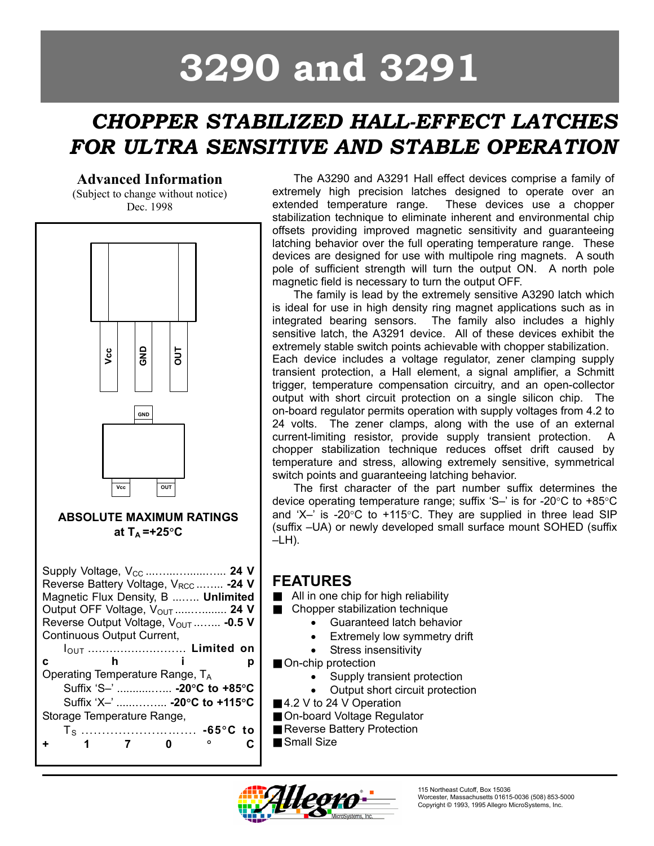# **3290 and 3291**

# *CHOPPER STABILIZED HALL-EFFECT LATCHES FOR ULTRA SENSITIVE AND STABLE OPERATION*

#### **Advanced Information**

(Subject to change without notice) Dec. 1998



The A3290 and A3291 Hall effect devices comprise a family of extremely high precision latches designed to operate over an extended temperature range. These devices use a chopper stabilization technique to eliminate inherent and environmental chip offsets providing improved magnetic sensitivity and guaranteeing latching behavior over the full operating temperature range. These devices are designed for use with multipole ring magnets. A south pole of sufficient strength will turn the output ON. A north pole magnetic field is necessary to turn the output OFF.

The family is lead by the extremely sensitive A3290 latch which is ideal for use in high density ring magnet applications such as in integrated bearing sensors. The family also includes a highly sensitive latch, the A3291 device. All of these devices exhibit the extremely stable switch points achievable with chopper stabilization. Each device includes a voltage regulator, zener clamping supply transient protection, a Hall element, a signal amplifier, a Schmitt trigger, temperature compensation circuitry, and an open-collector output with short circuit protection on a single silicon chip. The on-board regulator permits operation with supply voltages from 4.2 to 24 volts. The zener clamps, along with the use of an external current-limiting resistor, provide supply transient protection. A chopper stabilization technique reduces offset drift caused by temperature and stress, allowing extremely sensitive, symmetrical switch points and guaranteeing latching behavior.

The first character of the part number suffix determines the device operating temperature range; suffix 'S–' is for -20°C to +85°C and 'X-' is -20 $\degree$ C to +115 $\degree$ C. They are supplied in three lead SIP (suffix –UA) or newly developed small surface mount SOHED (suffix –LH).

## **FEATURES**

- All in one chip for high reliability
- Chopper stabilization technique
	- Guaranteed latch behavior
	- Extremely low symmetry drift
	- Stress insensitivity
- On-chip protection
	- Supply transient protection
	- Output short circuit protection
- 4.2 V to 24 V Operation
- On-board Voltage Regulator
- Reverse Battery Protection
- Small Size

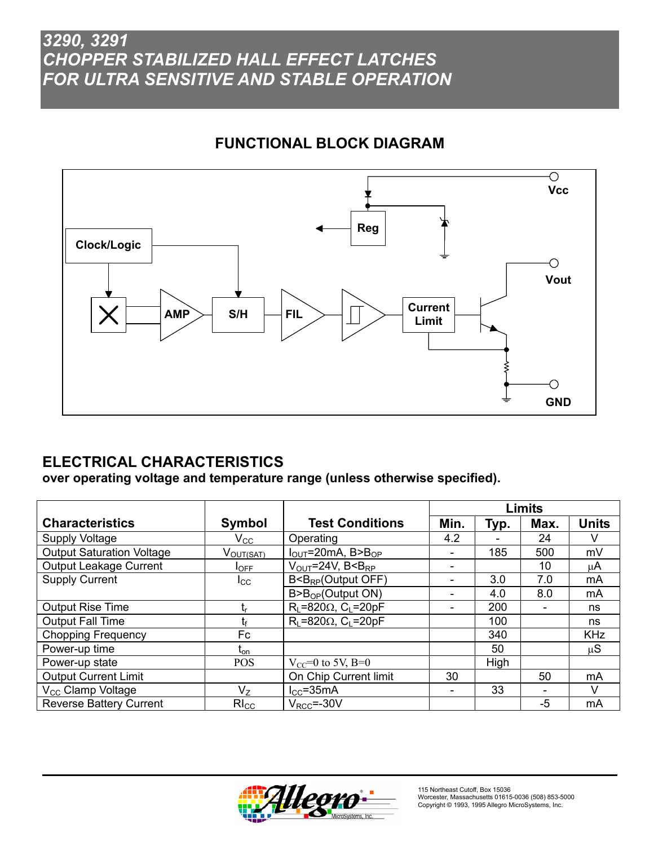# **FUNCTIONAL BLOCK DIAGRAM**



# **ELECTRICAL CHARACTERISTICS**

**over operating voltage and temperature range (unless otherwise specified).** 

|                                  |                  |                                            | Limits               |      |     |            |
|----------------------------------|------------------|--------------------------------------------|----------------------|------|-----|------------|
| <b>Characteristics</b>           | Symbol           | <b>Test Conditions</b>                     | Min.<br>Max.<br>Typ. |      |     |            |
| Supply Voltage                   | $\rm V_{CC}$     | Operating                                  | 4.2                  |      | 24  | v          |
| <b>Output Saturation Voltage</b> | VOUT(SAT)        | $I_{\text{OUT}}$ =20mA, B>B <sub>OP</sub>  |                      | 185  | 500 | mV         |
| Output Leakage Current           | $I_{\text{OFF}}$ | $V_{\text{OUT}}$ =24V, B <b<sub>RP</b<sub> |                      |      | 10  | μA         |
| <b>Supply Current</b>            | $_{\rm lcc}$     | $B < B_{RP}$ (Output OFF)                  |                      | 3.0  | 7.0 | mA         |
|                                  |                  | B > B <sub>OP</sub> (Output ON)            |                      | 4.0  | 8.0 | mA         |
| <b>Output Rise Time</b>          | t,               | $R_L = 820\Omega$ , C <sub>L</sub> =20pF   | -                    | 200  |     | ns         |
| <b>Output Fall Time</b>          | tғ               | $R_L = 820\Omega$ , C <sub>L</sub> =20pF   |                      | 100  |     | ns         |
| <b>Chopping Frequency</b>        | Fc               |                                            |                      | 340  |     | <b>KHz</b> |
| Power-up time                    | $t_{\text{on}}$  |                                            |                      | 50   |     | $\mu$ S    |
| Power-up state                   | <b>POS</b>       | $V_{CC} = 0$ to 5V, B=0                    |                      | High |     |            |
| <b>Output Current Limit</b>      |                  | On Chip Current limit                      | 30                   |      | 50  | mA         |
| V <sub>CC</sub> Clamp Voltage    | $V_{Z}$          | $I_{CC}$ =35mA                             | -                    | 33   |     | V          |
| <b>Reverse Battery Current</b>   | $R_{\text{C}}$   | $V_{\text{RCC}} = -30V$                    |                      |      | -5  | mA         |

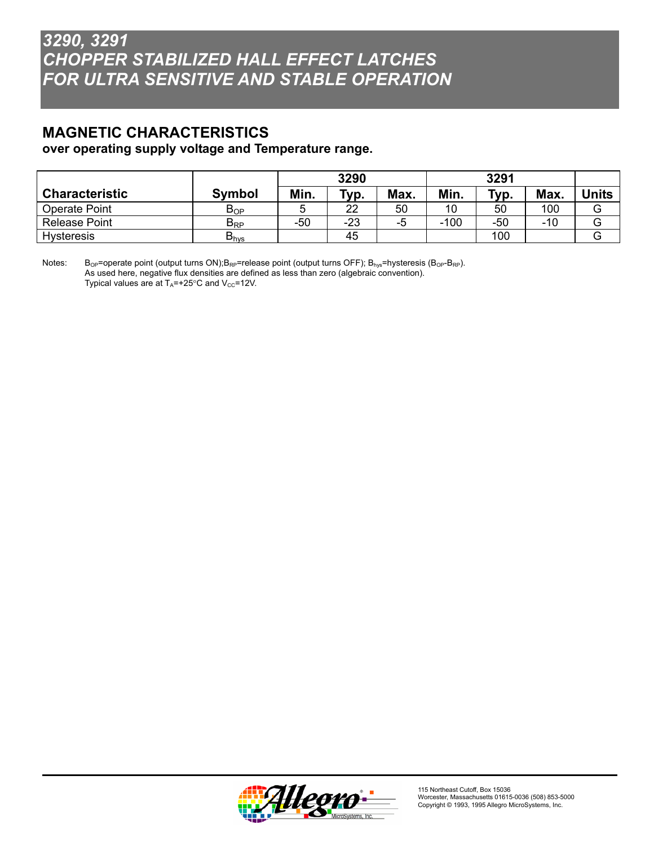#### **MAGNETIC CHARACTERISTICS over operating supply voltage and Temperature range.**

|                       |                  | 3290 |       |      | 3291   |       |       |       |
|-----------------------|------------------|------|-------|------|--------|-------|-------|-------|
| <b>Characteristic</b> | <b>Symbol</b>    | Min. | Typ.  | Max. | Min.   | тур.  | Max.  | Jnits |
| Operate Point         | $B_{OP}$         |      | 22    | 50   | 10     | 50    | 100   | G     |
| Release Point         | $B_{RP}$         | -50  | $-23$ | -5   | $-100$ | $-50$ | $-10$ | G     |
| <b>Hysteresis</b>     | $B_{\text{hvs}}$ |      | 45    |      |        | 100   |       | G     |

Notes: B<sub>OP</sub>=operate point (output turns ON);B<sub>RP</sub>=release point (output turns OFF); B<sub>hys</sub>=hysteresis (B<sub>OP</sub>-B<sub>RP</sub>). As used here, negative flux densities are defined as less than zero (algebraic convention). Typical values are at  $T_A$ =+25°C and  $V_{CC}$ =12V.

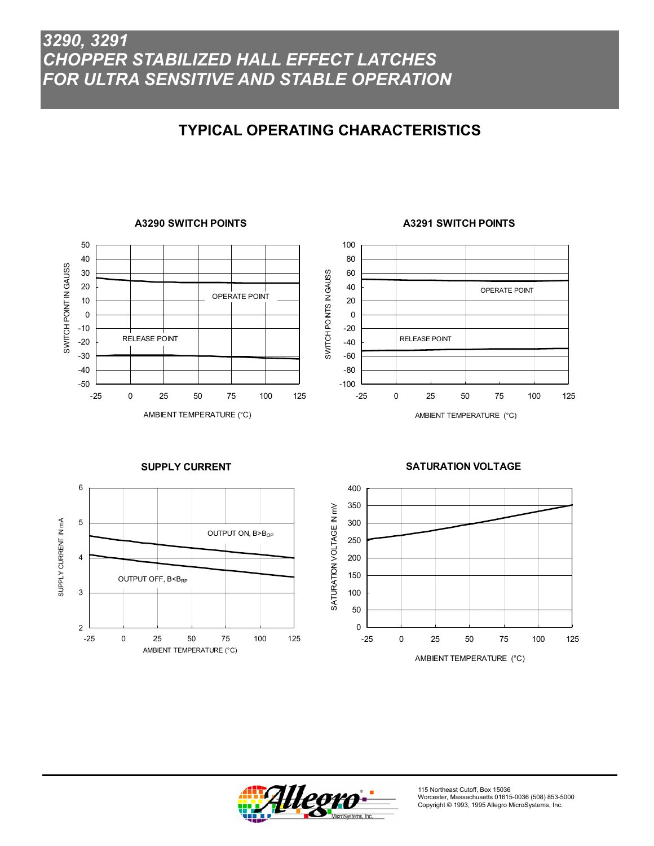# **TYPICAL OPERATING CHARACTERISTICS**

#### 50 40 SWITCH POINT IN GAUSS SWITCH POINT IN GAUSS 30 20 OPERATE POINT 10 0 -10 RELEASE POINT -20 -30 -40 -50 -25 0 25 50 75 100 125 AMBIENT TEMPERATURE (°C)

#### **A3290 SWITCH POINTS**

#### **A3291 SWITCH POINTS**



#### **SUPPLY CURRENT**



#### **SATURATION VOLTAGE**



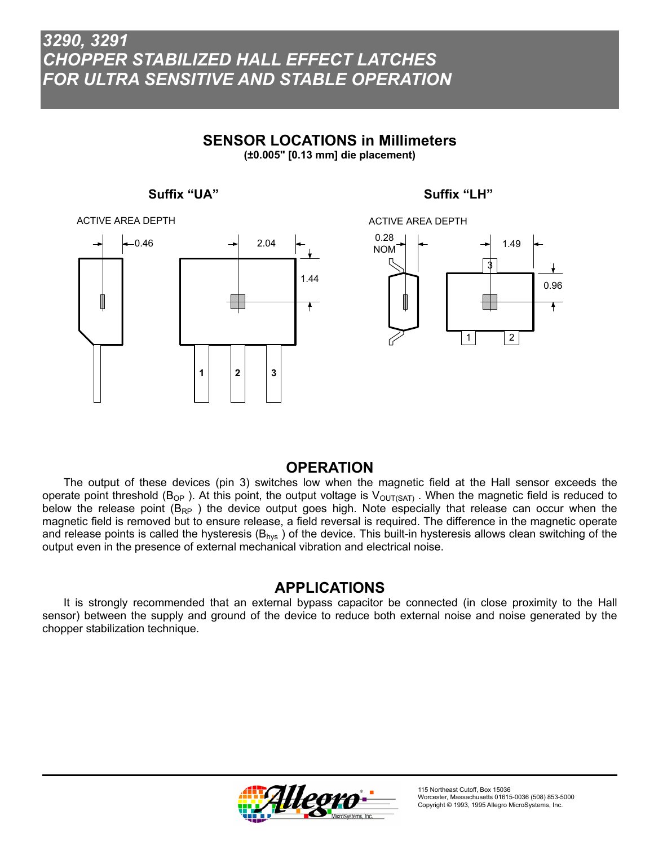#### **SENSOR LOCATIONS in Millimeters**

**(±0.005" [0.13 mm] die placement)**





### ACTIVE AREA DEPTH0.28 1.49 NOM 3 0.96  $\ddot{\bullet}$  $1 \mid$  | 2

#### **OPERATION**

The output of these devices (pin 3) switches low when the magnetic field at the Hall sensor exceeds the operate point threshold (B<sub>OP</sub>). At this point, the output voltage is  $V_{\text{OUT(SAT)}}$ . When the magnetic field is reduced to below the release point  $(B_{RP}$ ) the device output goes high. Note especially that release can occur when the magnetic field is removed but to ensure release, a field reversal is required. The difference in the magnetic operate and release points is called the hysteresis ( $B_{hvs}$ ) of the device. This built-in hysteresis allows clean switching of the output even in the presence of external mechanical vibration and electrical noise.

#### **APPLICATIONS**

 It is strongly recommended that an external bypass capacitor be connected (in close proximity to the Hall sensor) between the supply and ground of the device to reduce both external noise and noise generated by the chopper stabilization technique.

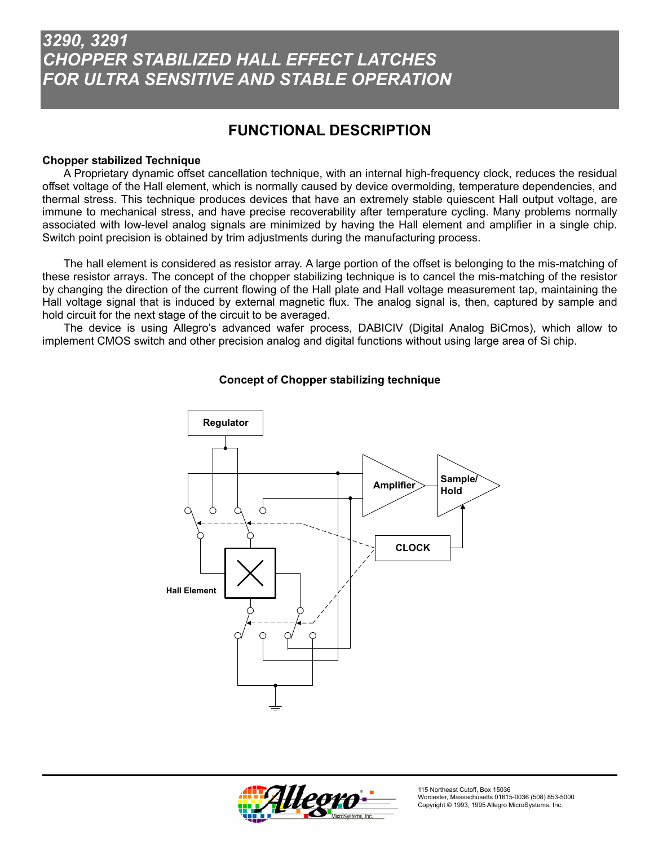# **FUNCTIONAL DESCRIPTION**

#### **Chopper stabilized Technique**

A Proprietary dynamic offset cancellation technique, with an internal high-frequency clock, reduces the residual offset voltage of the Hall element, which is normally caused by device overmolding, temperature dependencies, and thermal stress. This technique produces devices that have an extremely stable quiescent Hall output voltage, are immune to mechanical stress, and have precise recoverability after temperature cycling. Many problems normally associated with low-level analog signals are minimized by having the Hall element and amplifier in a single chip. Switch point precision is obtained by trim adjustments during the manufacturing process.

The hall element is considered as resistor array. A large portion of the offset is belonging to the mis-matching of these resistor arrays. The concept of the chopper stabilizing technique is to cancel the mis-matching of the resistor by changing the direction of the current flowing of the Hall plate and Hall voltage measurement tap, maintaining the Hall voltage signal that is induced by external magnetic flux. The analog signal is, then, captured by sample and hold circuit for the next stage of the circuit to be averaged.

The device is using Allegro's advanced wafer process, DABICIV (Digital Analog BiCmos), which allow to implement CMOS switch and other precision analog and digital functions without using large area of Si chip.



#### **Concept of Chopper stabilizing technique**

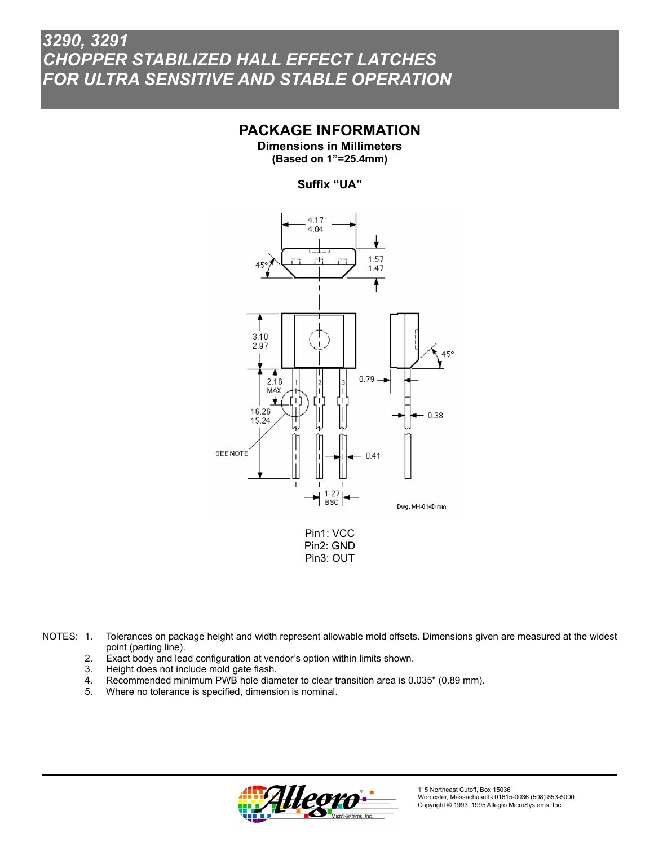#### **PACKAGE INFORMATION**

**Dimensions in Millimeters (Based on 1"=25.4mm)** 

#### **Suffix "UA"**



NOTES: 1. Tolerances on package height and width represent allowable mold offsets. Dimensions given are measured at the widest point (parting line).

- 2. Exact body and lead configuration at vendor's option within limits shown.
- 3. Height does not include mold gate flash.<br>4. Recommended minimum PWB hole dian
- Recommended minimum PWB hole diameter to clear transition area is 0.035" (0.89 mm).
- 5. Where no tolerance is specified, dimension is nominal.